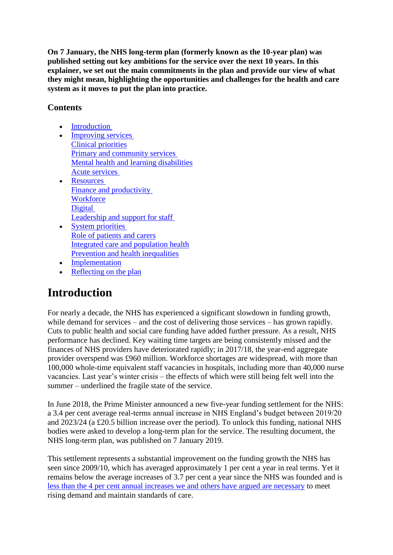**On 7 January, the NHS long-term plan (formerly known as the 10-year plan) was published setting out key ambitions for the service over the next 10 years. In this explainer, we set out the main commitments in the plan and provide our view of what they might mean, highlighting the opportunities and challenges for the health and care system as it moves to put the plan into practice.**

#### **Contents**

- [Introduction](https://www.kingsfund.org.uk/publications/nhs-long-term-plan-explained#introduction)
- [Improving services](https://www.kingsfund.org.uk/publications/nhs-long-term-plan-explained#clinical) [Clinical priorities](https://www.kingsfund.org.uk/publications/nhs-long-term-plan-explained#clinical) [Primary and community services](https://www.kingsfund.org.uk/publications/nhs-long-term-plan-explained#primary) [Mental health and learning disabilities](https://www.kingsfund.org.uk/publications/nhs-long-term-plan-explained#mentalhealth) [Acute services](https://www.kingsfund.org.uk/publications/nhs-long-term-plan-explained#acute)
- [Resources](https://www.kingsfund.org.uk/publications/nhs-long-term-plan-explained#finance) [Finance and productivity](https://www.kingsfund.org.uk/publications/nhs-long-term-plan-explained#finance) **[Workforce](https://www.kingsfund.org.uk/publications/nhs-long-term-plan-explained#workforce) [Digital](https://www.kingsfund.org.uk/publications/nhs-long-term-plan-explained#digital)** [Leadership and support for staff](https://www.kingsfund.org.uk/publications/nhs-long-term-plan-explained#leadership)
- [System priorities](https://www.kingsfund.org.uk/publications/nhs-long-term-plan-explained#patients) [Role of patients and carers](https://www.kingsfund.org.uk/publications/nhs-long-term-plan-explained#patients) [Integrated care and population health](https://www.kingsfund.org.uk/publications/nhs-long-term-plan-explained#integrated) [Prevention and health inequalities](https://www.kingsfund.org.uk/publications/nhs-long-term-plan-explained#prevention)
- [Implementation](https://www.kingsfund.org.uk/publications/nhs-long-term-plan-explained#implementation)
- [Reflecting on the plan](https://www.kingsfund.org.uk/publications/nhs-long-term-plan-explained#reflecting)

# **Introduction**

For nearly a decade, the NHS has experienced a significant slowdown in funding growth, while demand for services – and the cost of delivering those services – has grown rapidly. Cuts to public health and social care funding have added further pressure. As a result, NHS performance has declined. Key waiting time targets are being consistently missed and the finances of NHS providers have deteriorated rapidly; in 2017/18, the year-end aggregate provider overspend was £960 million. Workforce shortages are widespread, with more than 100,000 whole-time equivalent staff vacancies in hospitals, including more than 40,000 nurse vacancies. Last year's winter crisis – the effects of which were still being felt well into the summer – underlined the fragile state of the service.

In June 2018, the Prime Minister announced a new five-year funding settlement for the NHS: a 3.4 per cent average real-terms annual increase in NHS England's budget between 2019/20 and 2023/24 (a £20.5 billion increase over the period). To unlock this funding, national NHS bodies were asked to develop a long-term plan for the service. The resulting document, the NHS long-term plan, was published on 7 January 2019.

This settlement represents a substantial improvement on the funding growth the NHS has seen since 2009/10, which has averaged approximately 1 per cent a year in real terms. Yet it remains below the average increases of 3.7 per cent a year since the NHS was founded and is [less than the 4 per cent annual increases we and others have argued are necessary](https://www.kingsfund.org.uk/publications/pm-letter-funding-settlement-nhs) to meet rising demand and maintain standards of care.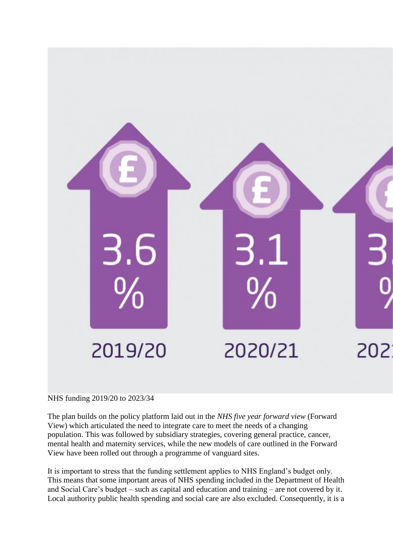

#### NHS funding 2019/20 to 2023/34

The plan builds on the policy platform laid out in the *NHS five year forward view* (Forward View) which articulated the need to integrate care to meet the needs of a changing population. This was followed by subsidiary strategies, covering general practice, cancer, mental health and maternity services, while the new models of care outlined in the Forward View have been rolled out through a programme of vanguard sites.

It is important to stress that the funding settlement applies to NHS England's budget only. This means that some important areas of NHS spending included in the Department of Health and Social Care's budget – such as capital and education and training – are not covered by it. Local authority public health spending and social care are also excluded. Consequently, it is a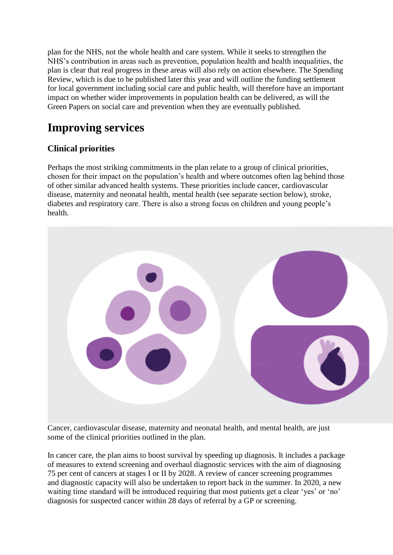plan for the NHS, not the whole health and care system. While it seeks to strengthen the NHS's contribution in areas such as prevention, population health and health inequalities, the plan is clear that real progress in these areas will also rely on action elsewhere. The Spending Review, which is due to be published later this year and will outline the funding settlement for local government including social care and public health, will therefore have an important impact on whether wider improvements in population health can be delivered, as will the Green Papers on social care and prevention when they are eventually published.

# **Improving services**

#### **Clinical priorities**

Perhaps the most striking commitments in the plan relate to a group of clinical priorities, chosen for their impact on the population's health and where outcomes often lag behind those of other similar advanced health systems. These priorities include cancer, cardiovascular disease, maternity and neonatal health, mental health (see separate section below), stroke, diabetes and respiratory care. There is also a strong focus on children and young people's health.



Cancer, cardiovascular disease, maternity and neonatal health, and mental health, are just some of the clinical priorities outlined in the plan.

In cancer care, the plan aims to boost survival by speeding up diagnosis. It includes a package of measures to extend screening and overhaul diagnostic services with the aim of diagnosing 75 per cent of cancers at stages I or II by 2028. A review of cancer screening programmes and diagnostic capacity will also be undertaken to report back in the summer. In 2020, a new waiting time standard will be introduced requiring that most patients get a clear 'yes' or 'no' diagnosis for suspected cancer within 28 days of referral by a GP or screening.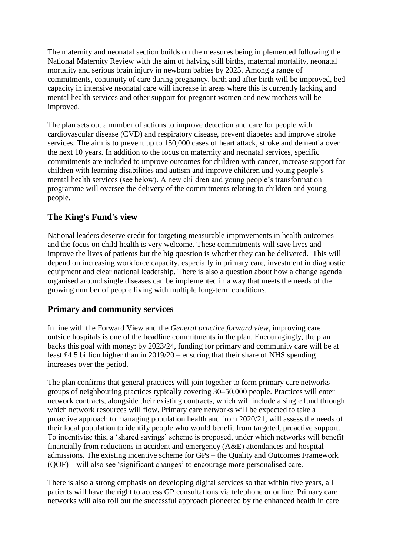The maternity and neonatal section builds on the measures being implemented following the National Maternity Review with the aim of halving still births, maternal mortality, neonatal mortality and serious brain injury in newborn babies by 2025. Among a range of commitments, continuity of care during pregnancy, birth and after birth will be improved, bed capacity in intensive neonatal care will increase in areas where this is currently lacking and mental health services and other support for pregnant women and new mothers will be improved.

The plan sets out a number of actions to improve detection and care for people with cardiovascular disease (CVD) and respiratory disease, prevent diabetes and improve stroke services. The aim is to prevent up to 150,000 cases of heart attack, stroke and dementia over the next 10 years. In addition to the focus on maternity and neonatal services, specific commitments are included to improve outcomes for children with cancer, increase support for children with learning disabilities and autism and improve children and young people's mental health services (see below). A new children and young people's transformation programme will oversee the delivery of the commitments relating to children and young people.

#### **The King's Fund's view**

National leaders deserve credit for targeting measurable improvements in health outcomes and the focus on child health is very welcome. These commitments will save lives and improve the lives of patients but the big question is whether they can be delivered. This will depend on increasing workforce capacity, especially in primary care, investment in diagnostic equipment and clear national leadership. There is also a question about how a change agenda organised around single diseases can be implemented in a way that meets the needs of the growing number of people living with multiple long-term conditions.

#### **Primary and community services**

In line with the Forward View and the *General practice forward view*, improving care outside hospitals is one of the headline commitments in the plan. Encouragingly, the plan backs this goal with money: by 2023/24, funding for primary and community care will be at least £4.5 billion higher than in 2019/20 – ensuring that their share of NHS spending increases over the period.

The plan confirms that general practices will join together to form primary care networks – groups of neighbouring practices typically covering 30–50,000 people. Practices will enter network contracts, alongside their existing contracts, which will include a single fund through which network resources will flow. Primary care networks will be expected to take a proactive approach to managing population health and from 2020/21, will assess the needs of their local population to identify people who would benefit from targeted, proactive support. To incentivise this, a 'shared savings' scheme is proposed, under which networks will benefit financially from reductions in accident and emergency (A&E) attendances and hospital admissions. The existing incentive scheme for GPs – the Quality and Outcomes Framework (QOF) – will also see 'significant changes' to encourage more personalised care.

There is also a strong emphasis on developing digital services so that within five years, all patients will have the right to access GP consultations via telephone or online. Primary care networks will also roll out the successful approach pioneered by the enhanced health in care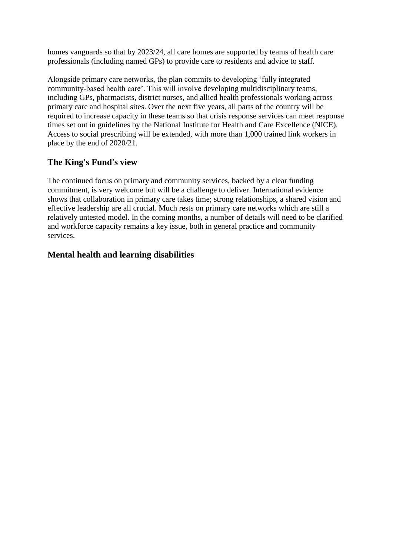homes vanguards so that by 2023/24, all care homes are supported by teams of health care professionals (including named GPs) to provide care to residents and advice to staff.

Alongside primary care networks, the plan commits to developing 'fully integrated community-based health care'. This will involve developing multidisciplinary teams, including GPs, pharmacists, district nurses, and allied health professionals working across primary care and hospital sites. Over the next five years, all parts of the country will be required to increase capacity in these teams so that crisis response services can meet response times set out in guidelines by the National Institute for Health and Care Excellence (NICE). Access to social prescribing will be extended, with more than 1,000 trained link workers in place by the end of 2020/21.

#### **The King's Fund's view**

The continued focus on primary and community services, backed by a clear funding commitment, is very welcome but will be a challenge to deliver. International evidence shows that collaboration in primary care takes time; strong relationships, a shared vision and effective leadership are all crucial. Much rests on primary care networks which are still a relatively untested model. In the coming months, a number of details will need to be clarified and workforce capacity remains a key issue, both in general practice and community services.

#### **Mental health and learning disabilities**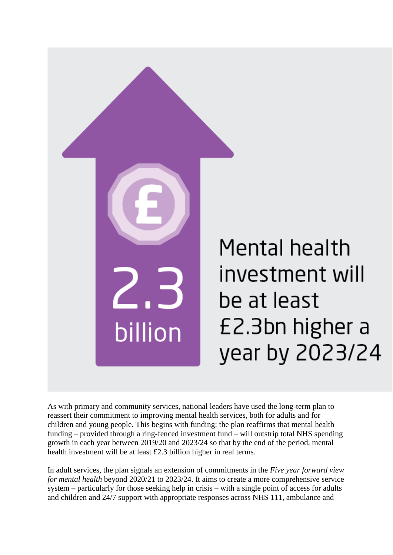

As with primary and community services, national leaders have used the long-term plan to reassert their commitment to improving mental health services, both for adults and for children and young people. This begins with funding: the plan reaffirms that mental health funding – provided through a ring-fenced investment fund – will outstrip total NHS spending growth in each year between 2019/20 and 2023/24 so that by the end of the period, mental health investment will be at least £2.3 billion higher in real terms.

In adult services, the plan signals an extension of commitments in the *Five year forward view for mental health* beyond 2020/21 to 2023/24. It aims to create a more comprehensive service system – particularly for those seeking help in crisis – with a single point of access for adults and children and 24/7 support with appropriate responses across NHS 111, ambulance and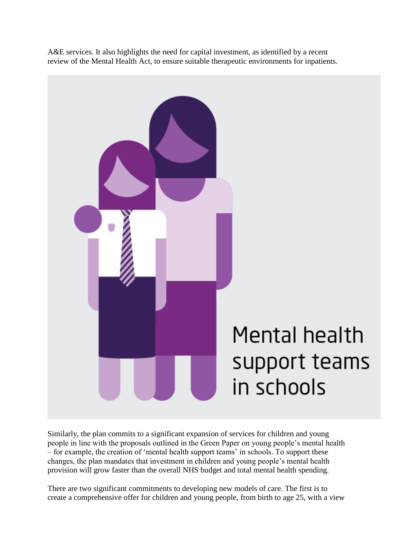A&E services. It also highlights the need for capital investment, as identified by a recent review of the Mental Health Act, to ensure suitable therapeutic environments for inpatients.



Similarly, the plan commits to a significant expansion of services for children and young people in line with the proposals outlined in the Green Paper on young people's mental health – for example, the creation of 'mental health support teams' in schools. To support these changes, the plan mandates that investment in children and young people's mental health provision will grow faster than the overall NHS budget and total mental health spending.

There are two significant commitments to developing new models of care. The first is to create a comprehensive offer for children and young people, from birth to age 25, with a view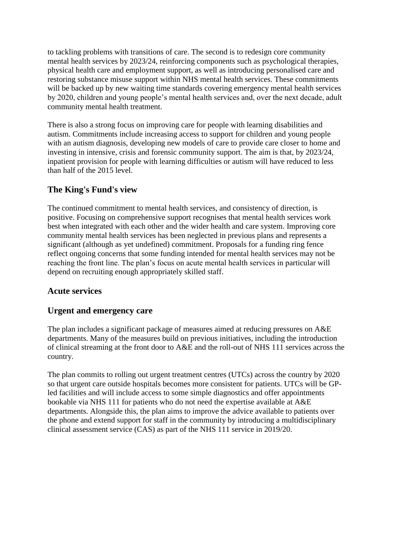to tackling problems with transitions of care. The second is to redesign core community mental health services by 2023/24, reinforcing components such as psychological therapies, physical health care and employment support, as well as introducing personalised care and restoring substance misuse support within NHS mental health services. These commitments will be backed up by new waiting time standards covering emergency mental health services by 2020, children and young people's mental health services and, over the next decade, adult community mental health treatment.

There is also a strong focus on improving care for people with learning disabilities and autism. Commitments include increasing access to support for children and young people with an autism diagnosis, developing new models of care to provide care closer to home and investing in intensive, crisis and forensic community support. The aim is that, by 2023/24, inpatient provision for people with learning difficulties or autism will have reduced to less than half of the 2015 level.

#### **The King's Fund's view**

The continued commitment to mental health services, and consistency of direction, is positive. Focusing on comprehensive support recognises that mental health services work best when integrated with each other and the wider health and care system. Improving core community mental health services has been neglected in previous plans and represents a significant (although as yet undefined) commitment. Proposals for a funding ring fence reflect ongoing concerns that some funding intended for mental health services may not be reaching the front line. The plan's focus on acute mental health services in particular will depend on recruiting enough appropriately skilled staff.

#### **Acute services**

#### **Urgent and emergency care**

The plan includes a significant package of measures aimed at reducing pressures on A&E departments. Many of the measures build on previous initiatives, including the introduction of clinical streaming at the front door to A&E and the roll-out of NHS 111 services across the country.

The plan commits to rolling out urgent treatment centres (UTCs) across the country by 2020 so that urgent care outside hospitals becomes more consistent for patients. UTCs will be GPled facilities and will include access to some simple diagnostics and offer appointments bookable via NHS 111 for patients who do not need the expertise available at A&E departments. Alongside this, the plan aims to improve the advice available to patients over the phone and extend support for staff in the community by introducing a multidisciplinary clinical assessment service (CAS) as part of the NHS 111 service in 2019/20.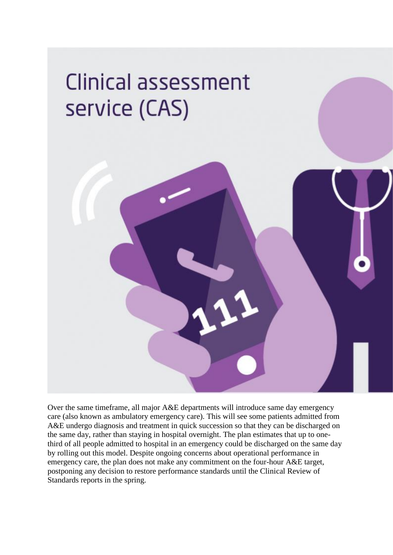

Over the same timeframe, all major A&E departments will introduce same day emergency care (also known as ambulatory emergency care). This will see some patients admitted from A&E undergo diagnosis and treatment in quick succession so that they can be discharged on the same day, rather than staying in hospital overnight. The plan estimates that up to onethird of all people admitted to hospital in an emergency could be discharged on the same day by rolling out this model. Despite ongoing concerns about operational performance in emergency care, the plan does not make any commitment on the four-hour A&E target, postponing any decision to restore performance standards until the Clinical Review of Standards reports in the spring.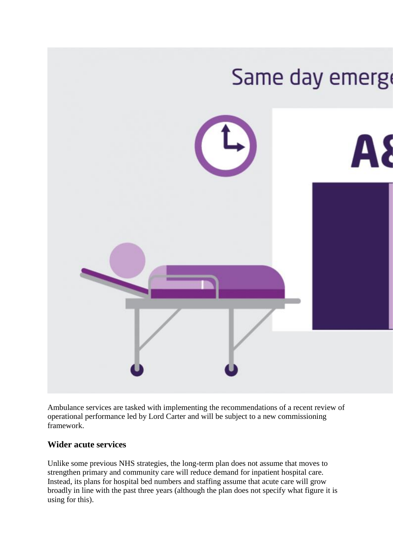

Ambulance services are tasked with implementing the recommendations of a recent review of operational performance led by Lord Carter and will be subject to a new commissioning framework.

#### **Wider acute services**

Unlike some previous NHS strategies, the long-term plan does not assume that moves to strengthen primary and community care will reduce demand for inpatient hospital care. Instead, its plans for hospital bed numbers and staffing assume that acute care will grow broadly in line with the past three years (although the plan does not specify what figure it is using for this).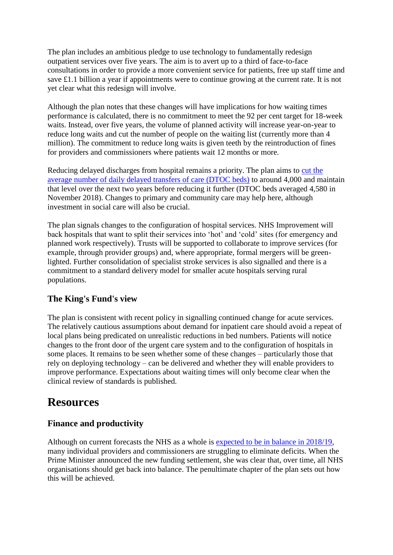The plan includes an ambitious pledge to use technology to fundamentally redesign outpatient services over five years. The aim is to avert up to a third of face-to-face consultations in order to provide a more convenient service for patients, free up staff time and save £1.1 billion a year if appointments were to continue growing at the current rate. It is not yet clear what this redesign will involve.

Although the plan notes that these changes will have implications for how waiting times performance is calculated, there is no commitment to meet the 92 per cent target for 18-week waits. Instead, over five years, the volume of planned activity will increase year-on-year to reduce long waits and cut the number of people on the waiting list (currently more than 4 million). The commitment to reduce long waits is given teeth by the reintroduction of fines for providers and commissioners where patients wait 12 months or more.

Reducing delayed discharges from hospital remains a priority. The plan aims to [cut the](https://www.kingsfund.org.uk/publications/delayed-transfers-care-quick-guide)  [average number of daily delayed transfers of care \(DTOC beds\)](https://www.kingsfund.org.uk/publications/delayed-transfers-care-quick-guide) to around 4,000 and maintain that level over the next two years before reducing it further (DTOC beds averaged 4,580 in November 2018). Changes to primary and community care may help here, although investment in social care will also be crucial.

The plan signals changes to the configuration of hospital services. NHS Improvement will back hospitals that want to split their services into 'hot' and 'cold' sites (for emergency and planned work respectively). Trusts will be supported to collaborate to improve services (for example, through provider groups) and, where appropriate, formal mergers will be greenlighted. Further consolidation of specialist stroke services is also signalled and there is a commitment to a standard delivery model for smaller acute hospitals serving rural populations.

#### **The King's Fund's view**

The plan is consistent with recent policy in signalling continued change for acute services. The relatively cautious assumptions about demand for inpatient care should avoid a repeat of local plans being predicated on unrealistic reductions in bed numbers. Patients will notice changes to the front door of the urgent care system and to the configuration of hospitals in some places. It remains to be seen whether some of these changes – particularly those that rely on deploying technology – can be delivered and whether they will enable providers to improve performance. Expectations about waiting times will only become clear when the clinical review of standards is published.

### **Resources**

#### **Finance and productivity**

Although on current forecasts the NHS as a whole is [expected to be in balance in 2018/19,](https://www.kingsfund.org.uk/publications/how-nhs-performing-december-2018) many individual providers and commissioners are struggling to eliminate deficits. When the Prime Minister announced the new funding settlement, she was clear that, over time, all NHS organisations should get back into balance. The penultimate chapter of the plan sets out how this will be achieved.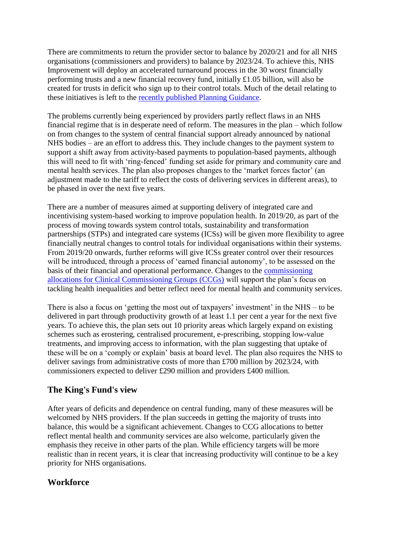There are commitments to return the provider sector to balance by 2020/21 and for all NHS organisations (commissioners and providers) to balance by 2023/24. To achieve this, NHS Improvement will deploy an accelerated turnaround process in the 30 worst financially performing trusts and a new financial recovery fund, initially £1.05 billion, will also be created for trusts in deficit who sign up to their control totals. Much of the detail relating to these initiatives is left to the [recently published Planning Guidance.](https://www.england.nhs.uk/operational-planning-and-contracting/)

The problems currently being experienced by providers partly reflect flaws in an NHS financial regime that is in desperate need of reform. The measures in the plan – which follow on from changes to the system of central financial support already announced by national NHS bodies – are an effort to address this. They include changes to the payment system to support a shift away from activity-based payments to population-based payments, although this will need to fit with 'ring-fenced' funding set aside for primary and community care and mental health services. The plan also proposes changes to the 'market forces factor' (an adjustment made to the tariff to reflect the costs of delivering services in different areas), to be phased in over the next five years.

There are a number of measures aimed at supporting delivery of integrated care and incentivising system-based working to improve population health. In 2019/20, as part of the process of moving towards system control totals, sustainability and transformation partnerships (STPs) and integrated care systems (ICSs) will be given more flexibility to agree financially neutral changes to control totals for individual organisations within their systems. From 2019/20 onwards, further reforms will give ICSs greater control over their resources will be introduced, through a process of 'earned financial autonomy', to be assessed on the basis of their financial and operational performance. Changes to the [commissioning](https://www.england.nhs.uk/allocations/)  [allocations for Clinical Commissioning Groups \(CCGs\)](https://www.england.nhs.uk/allocations/) will support the plan's focus on tackling health inequalities and better reflect need for mental health and community services.

There is also a focus on 'getting the most out of taxpayers' investment' in the NHS – to be delivered in part through productivity growth of at least 1.1 per cent a year for the next five years. To achieve this, the plan sets out 10 priority areas which largely expand on existing schemes such as erostering, centralised procurement, e-prescribing, stopping low-value treatments, and improving access to information, with the plan suggesting that uptake of these will be on a 'comply or explain' basis at board level. The plan also requires the NHS to deliver savings from administrative costs of more than £700 million by 2023/24, with commissioners expected to deliver £290 million and providers £400 million.

#### **The King's Fund's view**

After years of deficits and dependence on central funding, many of these measures will be welcomed by NHS providers. If the plan succeeds in getting the majority of trusts into balance, this would be a significant achievement. Changes to CCG allocations to better reflect mental health and community services are also welcome, particularly given the emphasis they receive in other parts of the plan. While efficiency targets will be more realistic than in recent years, it is clear that increasing productivity will continue to be a key priority for NHS organisations.

#### **Workforce**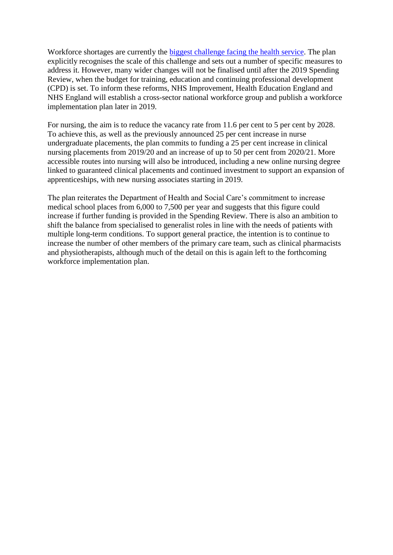Workforce shortages are currently the **biggest challenge facing the health service**. The plan explicitly recognises the scale of this challenge and sets out a number of specific measures to address it. However, many wider changes will not be finalised until after the 2019 Spending Review, when the budget for training, education and continuing professional development (CPD) is set. To inform these reforms, NHS Improvement, Health Education England and NHS England will establish a cross-sector national workforce group and publish a workforce implementation plan later in 2019.

For nursing, the aim is to reduce the vacancy rate from 11.6 per cent to 5 per cent by 2028. To achieve this, as well as the previously announced 25 per cent increase in nurse undergraduate placements, the plan commits to funding a 25 per cent increase in clinical nursing placements from 2019/20 and an increase of up to 50 per cent from 2020/21. More accessible routes into nursing will also be introduced, including a new online nursing degree linked to guaranteed clinical placements and continued investment to support an expansion of apprenticeships, with new nursing associates starting in 2019.

The plan reiterates the Department of Health and Social Care's commitment to increase medical school places from 6,000 to 7,500 per year and suggests that this figure could increase if further funding is provided in the Spending Review. There is also an ambition to shift the balance from specialised to generalist roles in line with the needs of patients with multiple long-term conditions. To support general practice, the intention is to continue to increase the number of other members of the primary care team, such as clinical pharmacists and physiotherapists, although much of the detail on this is again left to the forthcoming workforce implementation plan.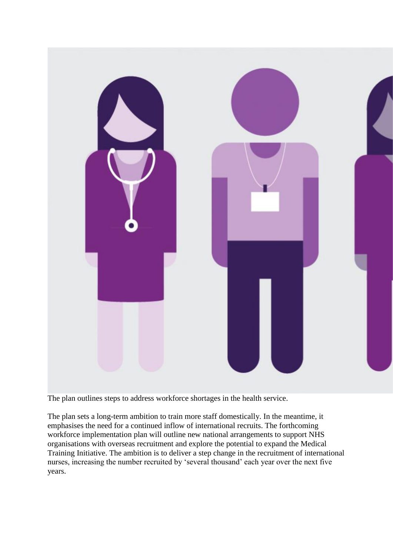

The plan outlines steps to address workforce shortages in the health service.

The plan sets a long-term ambition to train more staff domestically. In the meantime, it emphasises the need for a continued inflow of international recruits. The forthcoming workforce implementation plan will outline new national arrangements to support NHS organisations with overseas recruitment and explore the potential to expand the Medical Training Initiative. The ambition is to deliver a step change in the recruitment of international nurses, increasing the number recruited by 'several thousand' each year over the next five years.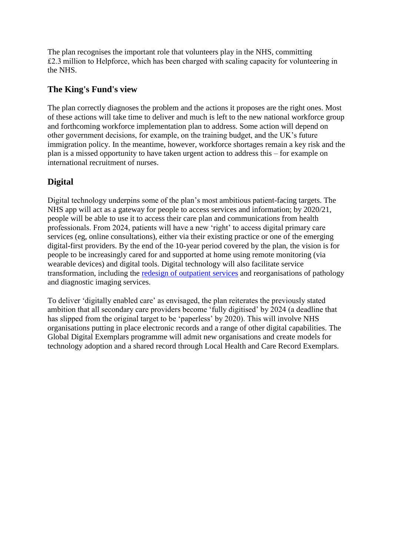The plan recognises the important role that volunteers play in the NHS, committing £2.3 million to Helpforce, which has been charged with scaling capacity for volunteering in the NHS.

#### **The King's Fund's view**

The plan correctly diagnoses the problem and the actions it proposes are the right ones. Most of these actions will take time to deliver and much is left to the new national workforce group and forthcoming workforce implementation plan to address. Some action will depend on other government decisions, for example, on the training budget, and the UK's future immigration policy. In the meantime, however, workforce shortages remain a key risk and the plan is a missed opportunity to have taken urgent action to address this – for example on international recruitment of nurses.

#### **Digital**

Digital technology underpins some of the plan's most ambitious patient-facing targets. The NHS app will act as a gateway for people to access services and information; by 2020/21, people will be able to use it to access their care plan and communications from health professionals. From 2024, patients will have a new 'right' to access digital primary care services (eg, online consultations), either via their existing practice or one of the emerging digital-first providers. By the end of the 10-year period covered by the plan, the vision is for people to be increasingly cared for and supported at home using remote monitoring (via wearable devices) and digital tools. Digital technology will also facilitate service transformation, including the [redesign of outpatient services](https://www.kingsfund.org.uk/publications/nhs-long-term-plan-explained#acute) and reorganisations of pathology and diagnostic imaging services.

To deliver 'digitally enabled care' as envisaged, the plan reiterates the previously stated ambition that all secondary care providers become 'fully digitised' by 2024 (a deadline that has slipped from the original target to be 'paperless' by 2020). This will involve NHS organisations putting in place electronic records and a range of other digital capabilities. The Global Digital Exemplars programme will admit new organisations and create models for technology adoption and a shared record through Local Health and Care Record Exemplars.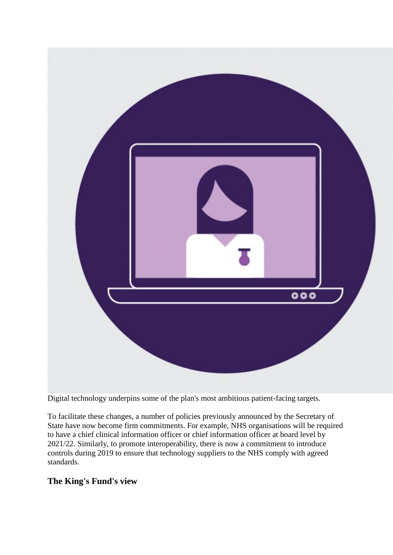

Digital technology underpins some of the plan's most ambitious patient-facing targets.

To facilitate these changes, a number of policies previously announced by the Secretary of State have now become firm commitments. For example, NHS organisations will be required to have a chief clinical information officer or chief information officer at board level by 2021/22. Similarly, to promote interoperability, there is now a commitment to introduce controls during 2019 to ensure that technology suppliers to the NHS comply with agreed standards.

#### **The King's Fund's view**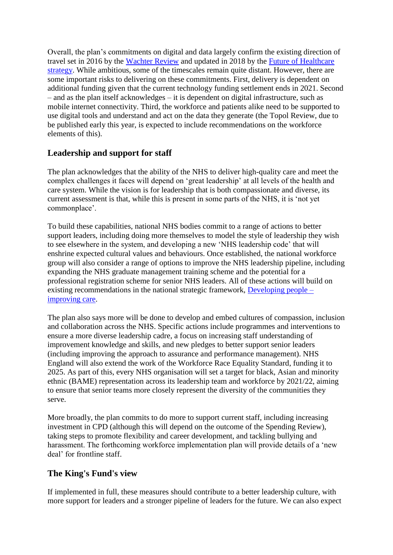Overall, the plan's commitments on digital and data largely confirm the existing direction of travel set in 2016 by the [Wachter Review](https://www.gov.uk/government/publications/using-information-technology-to-improve-the-nhs) and updated in 2018 by the [Future of Healthcare](https://www.gov.uk/government/publications/the-future-of-healthcare-our-vision-for-digital-data-and-technology-in-health-and-care/the-future-of-healthcare-our-vision-for-digital-data-and-technology-in-health-and-care)  [strategy.](https://www.gov.uk/government/publications/the-future-of-healthcare-our-vision-for-digital-data-and-technology-in-health-and-care/the-future-of-healthcare-our-vision-for-digital-data-and-technology-in-health-and-care) While ambitious, some of the timescales remain quite distant. However, there are some important risks to delivering on these commitments. First, delivery is dependent on additional funding given that the current technology funding settlement ends in 2021. Second – and as the plan itself acknowledges – it is dependent on digital infrastructure, such as mobile internet connectivity. Third, the workforce and patients alike need to be supported to use digital tools and understand and act on the data they generate (the Topol Review, due to be published early this year, is expected to include recommendations on the workforce elements of this).

#### **Leadership and support for staff**

The plan acknowledges that the ability of the NHS to deliver high-quality care and meet the complex challenges it faces will depend on 'great leadership' at all levels of the health and care system. While the vision is for leadership that is both compassionate and diverse, its current assessment is that, while this is present in some parts of the NHS, it is 'not yet commonplace'.

To build these capabilities, national NHS bodies commit to a range of actions to better support leaders, including doing more themselves to model the style of leadership they wish to see elsewhere in the system, and developing a new 'NHS leadership code' that will enshrine expected cultural values and behaviours. Once established, the national workforce group will also consider a range of options to improve the NHS leadership pipeline, including expanding the NHS graduate management training scheme and the potential for a professional registration scheme for senior NHS leaders. All of these actions will build on existing recommendations in the national strategic framework, [Developing people –](https://improvement.nhs.uk/resources/developing-people-improving-care/) [improving care.](https://improvement.nhs.uk/resources/developing-people-improving-care/)

The plan also says more will be done to develop and embed cultures of compassion, inclusion and collaboration across the NHS. Specific actions include programmes and interventions to ensure a more diverse leadership cadre, a focus on increasing staff understanding of improvement knowledge and skills, and new pledges to better support senior leaders (including improving the approach to assurance and performance management). NHS England will also extend the work of the Workforce Race Equality Standard, funding it to 2025. As part of this, every NHS organisation will set a target for black, Asian and minority ethnic (BAME) representation across its leadership team and workforce by 2021/22, aiming to ensure that senior teams more closely represent the diversity of the communities they serve.

More broadly, the plan commits to do more to support current staff, including increasing investment in CPD (although this will depend on the outcome of the Spending Review), taking steps to promote flexibility and career development, and tackling bullying and harassment. The forthcoming workforce implementation plan will provide details of a 'new deal' for frontline staff.

#### **The King's Fund's view**

If implemented in full, these measures should contribute to a better leadership culture, with more support for leaders and a stronger pipeline of leaders for the future. We can also expect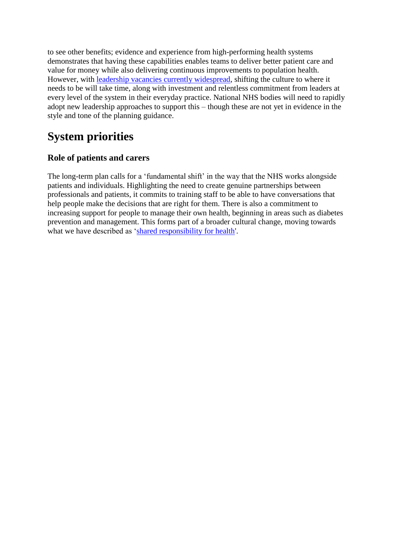to see other benefits; evidence and experience from high-performing health systems demonstrates that having these capabilities enables teams to deliver better patient care and value for money while also delivering continuous improvements to population health. However, with [leadership vacancies currently widespread,](https://www.kingsfund.org.uk/node/93114) shifting the culture to where it needs to be will take time, along with investment and relentless commitment from leaders at every level of the system in their everyday practice. National NHS bodies will need to rapidly adopt new leadership approaches to support this – though these are not yet in evidence in the style and tone of the planning guidance.

# **System priorities**

#### **Role of patients and carers**

The long-term plan calls for a 'fundamental shift' in the way that the NHS works alongside patients and individuals. Highlighting the need to create genuine partnerships between professionals and patients, it commits to training staff to be able to have conversations that help people make the decisions that are right for them. There is also a commitment to increasing support for people to manage their own health, beginning in areas such as diabetes prevention and management. This forms part of a broader cultural change, moving towards what we have described as ['shared responsibility for health'](https://www.kingsfund.org.uk/publications/shared-responsibility-health).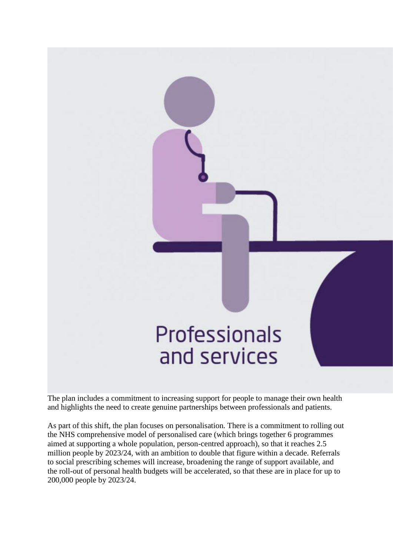# Professionals and services

The plan includes a commitment to increasing support for people to manage their own health and highlights the need to create genuine partnerships between professionals and patients.

As part of this shift, the plan focuses on personalisation. There is a commitment to rolling out the NHS comprehensive model of personalised care (which brings together 6 programmes aimed at supporting a whole population, person-centred approach), so that it reaches 2.5 million people by 2023/24, with an ambition to double that figure within a decade. Referrals to social prescribing schemes will increase, broadening the range of support available, and the roll-out of personal health budgets will be accelerated, so that these are in place for up to 200,000 people by 2023/24.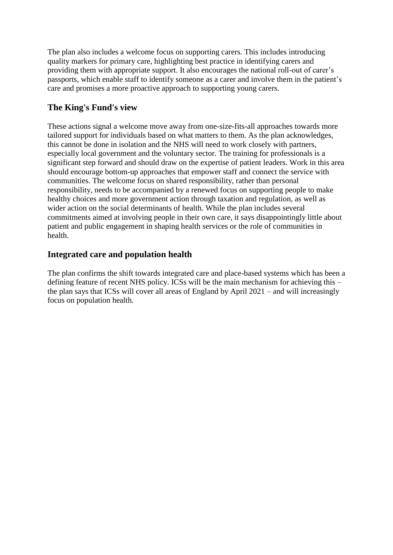The plan also includes a welcome focus on supporting carers. This includes introducing quality markers for primary care, highlighting best practice in identifying carers and providing them with appropriate support. It also encourages the national roll-out of carer's passports, which enable staff to identify someone as a carer and involve them in the patient's care and promises a more proactive approach to supporting young carers.

#### **The King's Fund's view**

These actions signal a welcome move away from one-size-fits-all approaches towards more tailored support for individuals based on what matters to them. As the plan acknowledges, this cannot be done in isolation and the NHS will need to work closely with partners, especially local government and the voluntary sector. The training for professionals is a significant step forward and should draw on the expertise of patient leaders. Work in this area should encourage bottom-up approaches that empower staff and connect the service with communities. The welcome focus on shared responsibility, rather than personal responsibility, needs to be accompanied by a renewed focus on supporting people to make healthy choices and more government action through taxation and regulation, as well as wider action on the social determinants of health. While the plan includes several commitments aimed at involving people in their own care, it says disappointingly little about patient and public engagement in shaping health services or the role of communities in health.

#### **Integrated care and population health**

The plan confirms the shift towards integrated care and place-based systems which has been a defining feature of recent NHS policy. ICSs will be the main mechanism for achieving this – the plan says that ICSs will cover all areas of England by April 2021 – and will increasingly focus on population health.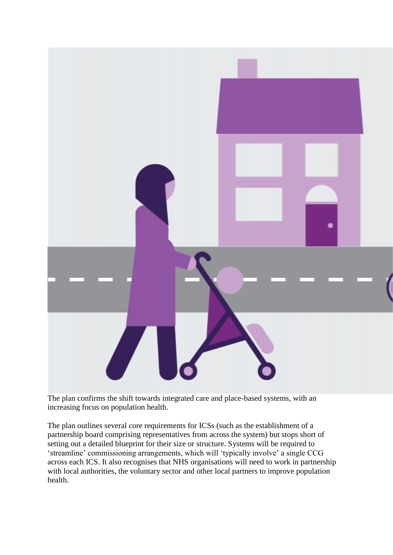

The plan confirms the shift towards integrated care and place-based systems, with an increasing focus on population health.

The plan outlines several core requirements for ICSs (such as the establishment of a partnership board comprising representatives from across the system) but stops short of setting out a detailed blueprint for their size or structure. Systems will be required to 'streamline' commissioning arrangements, which will 'typically involve' a single CCG across each ICS. It also recognises that NHS organisations will need to work in partnership with local authorities, the voluntary sector and other local partners to improve population health.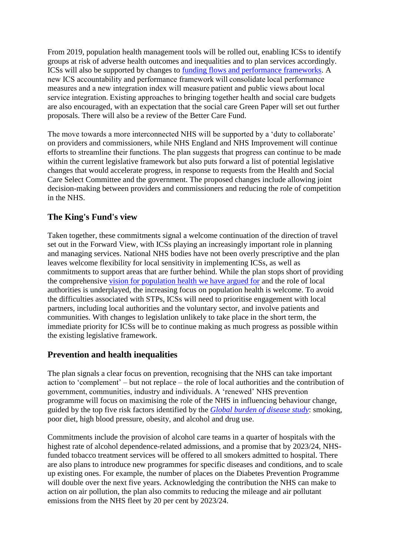From 2019, population health management tools will be rolled out, enabling ICSs to identify groups at risk of adverse health outcomes and inequalities and to plan services accordingly. ICSs will also be supported by changes to [funding flows and performance frameworks.](https://www.kingsfund.org.uk/publications/nhs-long-term-plan-explained#finance) A new ICS accountability and performance framework will consolidate local performance measures and a new integration index will measure patient and public views about local service integration. Existing approaches to bringing together health and social care budgets are also encouraged, with an expectation that the social care Green Paper will set out further proposals. There will also be a review of the Better Care Fund.

The move towards a more interconnected NHS will be supported by a 'duty to collaborate' on providers and commissioners, while NHS England and NHS Improvement will continue efforts to streamline their functions. The plan suggests that progress can continue to be made within the current legislative framework but also puts forward a list of potential legislative changes that would accelerate progress, in response to requests from the Health and Social Care Select Committee and the government. The proposed changes include allowing joint decision-making between providers and commissioners and reducing the role of competition in the NHS.

#### **The King's Fund's view**

Taken together, these commitments signal a welcome continuation of the direction of travel set out in the Forward View, with ICSs playing an increasingly important role in planning and managing services. National NHS bodies have not been overly prescriptive and the plan leaves welcome flexibility for local sensitivity in implementing ICSs, as well as commitments to support areas that are further behind. While the plan stops short of providing the comprehensive [vision for population health we have argued for](https://www.kingsfund.org.uk/publications/vision-population-health) and the role of local authorities is underplayed, the increasing focus on population health is welcome. To avoid the difficulties associated with STPs, ICSs will need to prioritise engagement with local partners, including local authorities and the voluntary sector, and involve patients and communities. With changes to legislation unlikely to take place in the short term, the immediate priority for ICSs will be to continue making as much progress as possible within the existing legislative framework.

#### **Prevention and health inequalities**

The plan signals a clear focus on prevention, recognising that the NHS can take important action to 'complement' – but not replace – the role of local authorities and the contribution of government, communities, industry and individuals. A 'renewed' NHS prevention programme will focus on maximising the role of the NHS in influencing behaviour change, guided by the top five risk factors identified by the *[Global burden of disease study](https://www.thelancet.com/journals/lancet/article/PIIS0140-6736(18)32207-4/fulltext)*: smoking, poor diet, high blood pressure, obesity, and alcohol and drug use.

Commitments include the provision of alcohol care teams in a quarter of hospitals with the highest rate of alcohol dependence-related admissions, and a promise that by 2023/24, NHSfunded tobacco treatment services will be offered to all smokers admitted to hospital. There are also plans to introduce new programmes for specific diseases and conditions, and to scale up existing ones. For example, the number of places on the Diabetes Prevention Programme will double over the next five years. Acknowledging the contribution the NHS can make to action on air pollution, the plan also commits to reducing the mileage and air pollutant emissions from the NHS fleet by 20 per cent by 2023/24.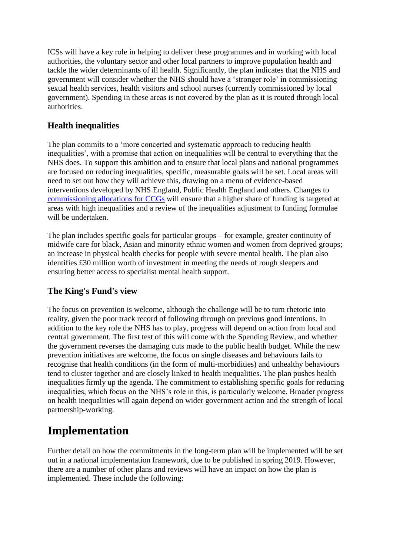ICSs will have a key role in helping to deliver these programmes and in working with local authorities, the voluntary sector and other local partners to improve population health and tackle the wider determinants of ill health. Significantly, the plan indicates that the NHS and government will consider whether the NHS should have a 'stronger role' in commissioning sexual health services, health visitors and school nurses (currently commissioned by local government). Spending in these areas is not covered by the plan as it is routed through local authorities.

#### **Health inequalities**

The plan commits to a 'more concerted and systematic approach to reducing health inequalities', with a promise that action on inequalities will be central to everything that the NHS does. To support this ambition and to ensure that local plans and national programmes are focused on reducing inequalities, specific, measurable goals will be set. Local areas will need to set out how they will achieve this, drawing on a menu of evidence-based interventions developed by NHS England, Public Health England and others. Changes to [commissioning allocations for CCGs](https://www.england.nhs.uk/allocations/) will ensure that a higher share of funding is targeted at areas with high inequalities and a review of the inequalities adjustment to funding formulae will be undertaken.

The plan includes specific goals for particular groups – for example, greater continuity of midwife care for black, Asian and minority ethnic women and women from deprived groups; an increase in physical health checks for people with severe mental health. The plan also identifies £30 million worth of investment in meeting the needs of rough sleepers and ensuring better access to specialist mental health support.

#### **The King's Fund's view**

The focus on prevention is welcome, although the challenge will be to turn rhetoric into reality, given the poor track record of following through on previous good intentions. In addition to the key role the NHS has to play, progress will depend on action from local and central government. The first test of this will come with the Spending Review, and whether the government reverses the damaging cuts made to the public health budget. While the new prevention initiatives are welcome, the focus on single diseases and behaviours fails to recognise that health conditions (in the form of multi-morbidities) and unhealthy behaviours tend to cluster together and are closely linked to health inequalities. The plan pushes health inequalities firmly up the agenda. The commitment to establishing specific goals for reducing inequalities, which focus on the NHS's role in this, is particularly welcome. Broader progress on health inequalities will again depend on wider government action and the strength of local partnership-working.

## **Implementation**

Further detail on how the commitments in the long-term plan will be implemented will be set out in a national implementation framework, due to be published in spring 2019. However, there are a number of other plans and reviews will have an impact on how the plan is implemented. These include the following: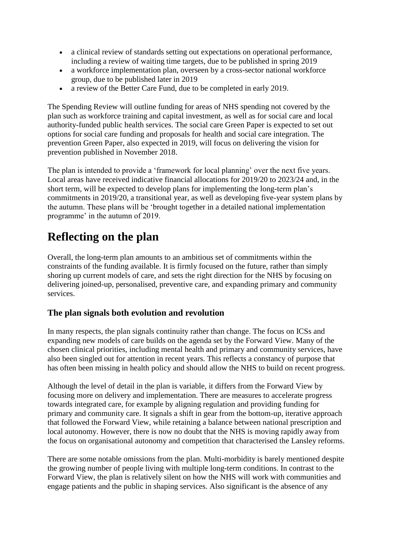- a clinical review of standards setting out expectations on operational performance, including a review of waiting time targets, due to be published in spring 2019
- a workforce implementation plan, overseen by a cross-sector national workforce group, due to be published later in 2019
- a review of the Better Care Fund, due to be completed in early 2019.

The Spending Review will outline funding for areas of NHS spending not covered by the plan such as workforce training and capital investment, as well as for social care and local authority-funded public health services. The social care Green Paper is expected to set out options for social care funding and proposals for health and social care integration. The prevention Green Paper, also expected in 2019, will focus on delivering the vision for prevention published in November 2018.

The plan is intended to provide a 'framework for local planning' over the next five years. Local areas have received indicative financial allocations for 2019/20 to 2023/24 and, in the short term, will be expected to develop plans for implementing the long-term plan's commitments in 2019/20, a transitional year, as well as developing five-year system plans by the autumn. These plans will be 'brought together in a detailed national implementation programme' in the autumn of 2019.

## **Reflecting on the plan**

Overall, the long-term plan amounts to an ambitious set of commitments within the constraints of the funding available. It is firmly focused on the future, rather than simply shoring up current models of care, and sets the right direction for the NHS by focusing on delivering joined-up, personalised, preventive care, and expanding primary and community services.

#### **The plan signals both evolution and revolution**

In many respects, the plan signals continuity rather than change. The focus on ICSs and expanding new models of care builds on the agenda set by the Forward View. Many of the chosen clinical priorities, including mental health and primary and community services, have also been singled out for attention in recent years. This reflects a constancy of purpose that has often been missing in health policy and should allow the NHS to build on recent progress.

Although the level of detail in the plan is variable, it differs from the Forward View by focusing more on delivery and implementation. There are measures to accelerate progress towards integrated care, for example by aligning regulation and providing funding for primary and community care. It signals a shift in gear from the bottom-up, iterative approach that followed the Forward View, while retaining a balance between national prescription and local autonomy. However, there is now no doubt that the NHS is moving rapidly away from the focus on organisational autonomy and competition that characterised the Lansley reforms.

There are some notable omissions from the plan. Multi-morbidity is barely mentioned despite the growing number of people living with multiple long-term conditions. In contrast to the Forward View, the plan is relatively silent on how the NHS will work with communities and engage patients and the public in shaping services. Also significant is the absence of any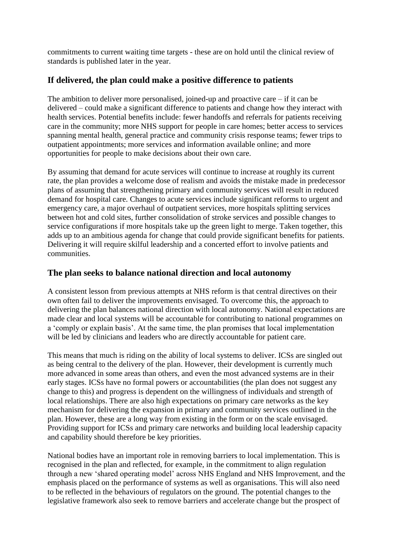commitments to current waiting time targets - these are on hold until the clinical review of standards is published later in the year.

#### **If delivered, the plan could make a positive difference to patients**

The ambition to deliver more personalised, joined-up and proactive care – if it can be delivered – could make a significant difference to patients and change how they interact with health services. Potential benefits include: fewer handoffs and referrals for patients receiving care in the community; more NHS support for people in care homes; better access to services spanning mental health, general practice and community crisis response teams; fewer trips to outpatient appointments; more services and information available online; and more opportunities for people to make decisions about their own care.

By assuming that demand for acute services will continue to increase at roughly its current rate, the plan provides a welcome dose of realism and avoids the mistake made in predecessor plans of assuming that strengthening primary and community services will result in reduced demand for hospital care. Changes to acute services include significant reforms to urgent and emergency care, a major overhaul of outpatient services, more hospitals splitting services between hot and cold sites, further consolidation of stroke services and possible changes to service configurations if more hospitals take up the green light to merge. Taken together, this adds up to an ambitious agenda for change that could provide significant benefits for patients. Delivering it will require skilful leadership and a concerted effort to involve patients and communities.

#### **The plan seeks to balance national direction and local autonomy**

A consistent lesson from previous attempts at NHS reform is that central directives on their own often fail to deliver the improvements envisaged. To overcome this, the approach to delivering the plan balances national direction with local autonomy. National expectations are made clear and local systems will be accountable for contributing to national programmes on a 'comply or explain basis'. At the same time, the plan promises that local implementation will be led by clinicians and leaders who are directly accountable for patient care.

This means that much is riding on the ability of local systems to deliver. ICSs are singled out as being central to the delivery of the plan. However, their development is currently much more advanced in some areas than others, and even the most advanced systems are in their early stages. ICSs have no formal powers or accountabilities (the plan does not suggest any change to this) and progress is dependent on the willingness of individuals and strength of local relationships. There are also high expectations on primary care networks as the key mechanism for delivering the expansion in primary and community services outlined in the plan. However, these are a long way from existing in the form or on the scale envisaged. Providing support for ICSs and primary care networks and building local leadership capacity and capability should therefore be key priorities.

National bodies have an important role in removing barriers to local implementation. This is recognised in the plan and reflected, for example, in the commitment to align regulation through a new 'shared operating model' across NHS England and NHS Improvement, and the emphasis placed on the performance of systems as well as organisations. This will also need to be reflected in the behaviours of regulators on the ground. The potential changes to the legislative framework also seek to remove barriers and accelerate change but the prospect of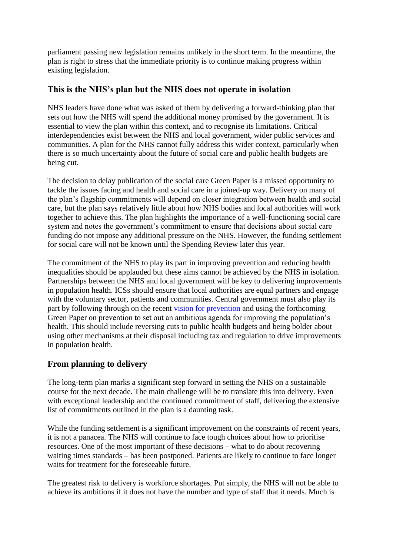parliament passing new legislation remains unlikely in the short term. In the meantime, the plan is right to stress that the immediate priority is to continue making progress within existing legislation.

#### **This is the NHS's plan but the NHS does not operate in isolation**

NHS leaders have done what was asked of them by delivering a forward-thinking plan that sets out how the NHS will spend the additional money promised by the government. It is essential to view the plan within this context, and to recognise its limitations. Critical interdependencies exist between the NHS and local government, wider public services and communities. A plan for the NHS cannot fully address this wider context, particularly when there is so much uncertainty about the future of social care and public health budgets are being cut.

The decision to delay publication of the social care Green Paper is a missed opportunity to tackle the issues facing and health and social care in a joined-up way. Delivery on many of the plan's flagship commitments will depend on closer integration between health and social care, but the plan says relatively little about how NHS bodies and local authorities will work together to achieve this. The plan highlights the importance of a well-functioning social care system and notes the government's commitment to ensure that decisions about social care funding do not impose any additional pressure on the NHS. However, the funding settlement for social care will not be known until the Spending Review later this year.

The commitment of the NHS to play its part in improving prevention and reducing health inequalities should be applauded but these aims cannot be achieved by the NHS in isolation. Partnerships between the NHS and local government will be key to delivering improvements in population health. ICSs should ensure that local authorities are equal partners and engage with the voluntary sector, patients and communities. Central government must also play its part by following through on the recent [vision for prevention](https://www.gov.uk/government/publications/prevention-is-better-than-cure-our-vision-to-help-you-live-well-for-longer) and using the forthcoming Green Paper on prevention to set out an ambitious agenda for improving the population's health. This should include reversing cuts to public health budgets and being bolder about using other mechanisms at their disposal including tax and regulation to drive improvements in population health.

#### **From planning to delivery**

The long-term plan marks a significant step forward in setting the NHS on a sustainable course for the next decade. The main challenge will be to translate this into delivery. Even with exceptional leadership and the continued commitment of staff, delivering the extensive list of commitments outlined in the plan is a daunting task.

While the funding settlement is a significant improvement on the constraints of recent years, it is not a panacea. The NHS will continue to face tough choices about how to prioritise resources. One of the most important of these decisions – what to do about recovering waiting times standards – has been postponed. Patients are likely to continue to face longer waits for treatment for the foreseeable future.

The greatest risk to delivery is workforce shortages. Put simply, the NHS will not be able to achieve its ambitions if it does not have the number and type of staff that it needs. Much is